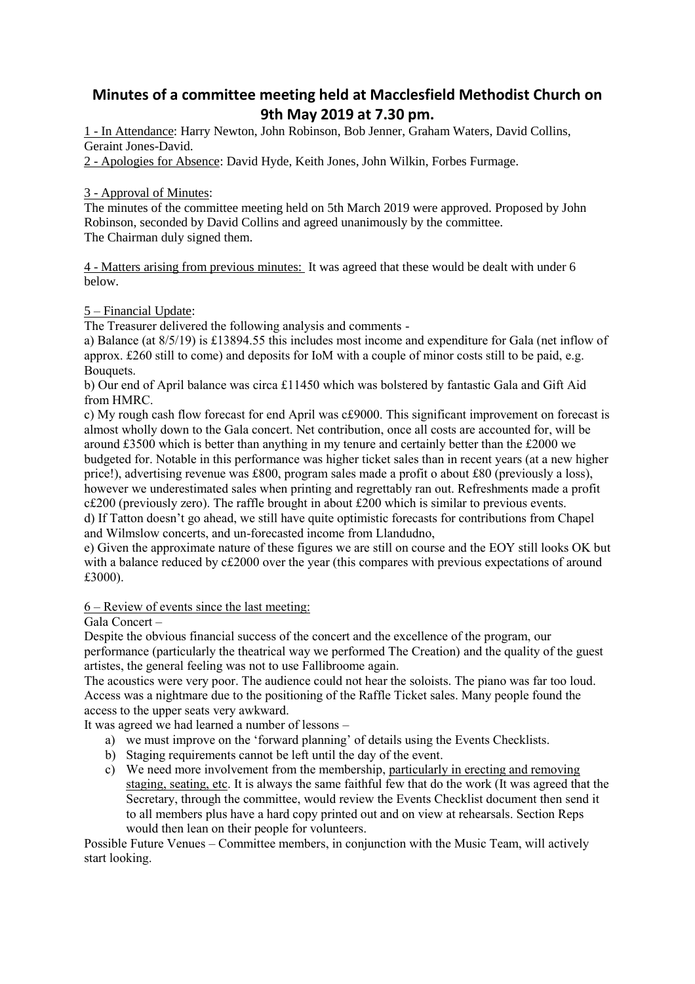# **Minutes of a committee meeting held at Macclesfield Methodist Church on 9th May 2019 at 7.30 pm.**

1 - In Attendance: Harry Newton, John Robinson, Bob Jenner, Graham Waters, David Collins, Geraint Jones-David.

2 - Apologies for Absence: David Hyde, Keith Jones, John Wilkin, Forbes Furmage.

## 3 - Approval of Minutes:

The minutes of the committee meeting held on 5th March 2019 were approved. Proposed by John Robinson, seconded by David Collins and agreed unanimously by the committee. The Chairman duly signed them.

4 - Matters arising from previous minutes: It was agreed that these would be dealt with under 6 below.

## 5 – Financial Update:

The Treasurer delivered the following analysis and comments -

a) Balance (at 8/5/19) is £13894.55 this includes most income and expenditure for Gala (net inflow of approx. £260 still to come) and deposits for IoM with a couple of minor costs still to be paid, e.g. Bouquets.

b) Our end of April balance was circa £11450 which was bolstered by fantastic Gala and Gift Aid from HMRC.

c) My rough cash flow forecast for end April was c£9000. This significant improvement on forecast is almost wholly down to the Gala concert. Net contribution, once all costs are accounted for, will be around £3500 which is better than anything in my tenure and certainly better than the £2000 we budgeted for. Notable in this performance was higher ticket sales than in recent years (at a new higher price!), advertising revenue was £800, program sales made a profit o about £80 (previously a loss), however we underestimated sales when printing and regrettably ran out. Refreshments made a profit c£200 (previously zero). The raffle brought in about £200 which is similar to previous events. d) If Tatton doesn't go ahead, we still have quite optimistic forecasts for contributions from Chapel and Wilmslow concerts, and un-forecasted income from Llandudno,

e) Given the approximate nature of these figures we are still on course and the EOY still looks OK but with a balance reduced by c£2000 over the year (this compares with previous expectations of around £3000).

#### 6 – Review of events since the last meeting:

Gala Concert –

Despite the obvious financial success of the concert and the excellence of the program, our performance (particularly the theatrical way we performed The Creation) and the quality of the guest artistes, the general feeling was not to use Fallibroome again.

The acoustics were very poor. The audience could not hear the soloists. The piano was far too loud. Access was a nightmare due to the positioning of the Raffle Ticket sales. Many people found the access to the upper seats very awkward.

It was agreed we had learned a number of lessons –

- a) we must improve on the 'forward planning' of details using the Events Checklists.
- b) Staging requirements cannot be left until the day of the event.
- c) We need more involvement from the membership, particularly in erecting and removing staging, seating, etc. It is always the same faithful few that do the work (It was agreed that the Secretary, through the committee, would review the Events Checklist document then send it to all members plus have a hard copy printed out and on view at rehearsals. Section Reps would then lean on their people for volunteers.

Possible Future Venues – Committee members, in conjunction with the Music Team, will actively start looking.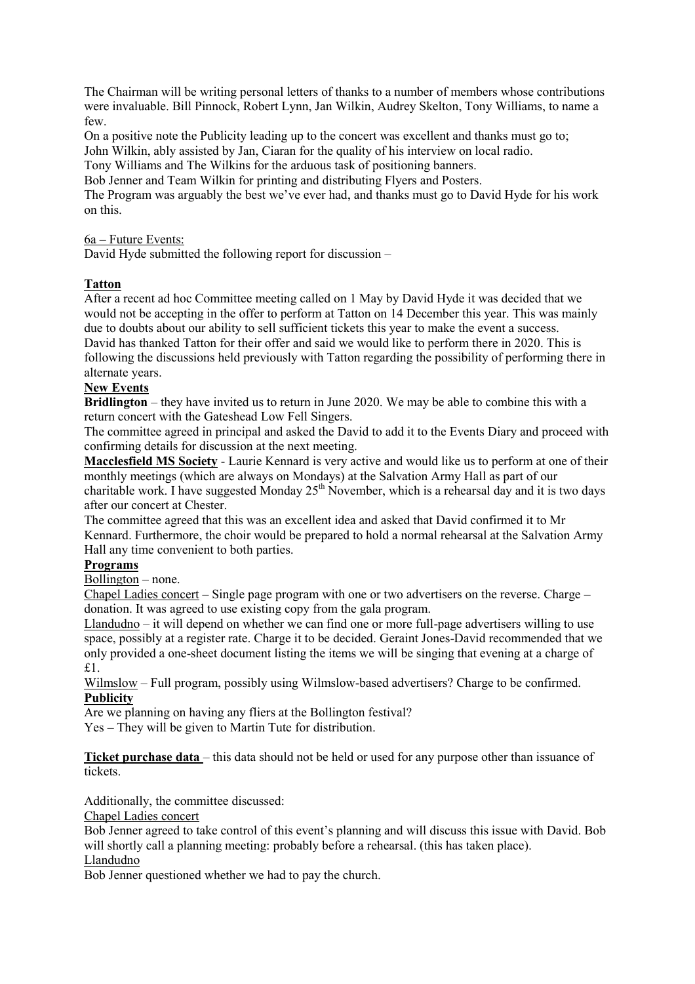The Chairman will be writing personal letters of thanks to a number of members whose contributions were invaluable. Bill Pinnock, Robert Lynn, Jan Wilkin, Audrey Skelton, Tony Williams, to name a few.

On a positive note the Publicity leading up to the concert was excellent and thanks must go to; John Wilkin, ably assisted by Jan, Ciaran for the quality of his interview on local radio.

Tony Williams and The Wilkins for the arduous task of positioning banners.

Bob Jenner and Team Wilkin for printing and distributing Flyers and Posters.

The Program was arguably the best we've ever had, and thanks must go to David Hyde for his work on this.

## 6a – Future Events:

David Hyde submitted the following report for discussion –

## **Tatton**

After a recent ad hoc Committee meeting called on 1 May by David Hyde it was decided that we would not be accepting in the offer to perform at Tatton on 14 December this year. This was mainly due to doubts about our ability to sell sufficient tickets this year to make the event a success. David has thanked Tatton for their offer and said we would like to perform there in 2020. This is following the discussions held previously with Tatton regarding the possibility of performing there in alternate years.

## **New Events**

**Bridlington** – they have invited us to return in June 2020. We may be able to combine this with a return concert with the Gateshead Low Fell Singers.

The committee agreed in principal and asked the David to add it to the Events Diary and proceed with confirming details for discussion at the next meeting.

**Macclesfield MS Society** - Laurie Kennard is very active and would like us to perform at one of their monthly meetings (which are always on Mondays) at the Salvation Army Hall as part of our charitable work. I have suggested Monday  $25<sup>th</sup>$  November, which is a rehearsal day and it is two days after our concert at Chester.

The committee agreed that this was an excellent idea and asked that David confirmed it to Mr Kennard. Furthermore, the choir would be prepared to hold a normal rehearsal at the Salvation Army Hall any time convenient to both parties.

## **Programs**

Bollington – none.

Chapel Ladies concert – Single page program with one or two advertisers on the reverse. Charge – donation. It was agreed to use existing copy from the gala program.

Llandudno – it will depend on whether we can find one or more full-page advertisers willing to use space, possibly at a register rate. Charge it to be decided. Geraint Jones-David recommended that we only provided a one-sheet document listing the items we will be singing that evening at a charge of £1.

Wilmslow – Full program, possibly using Wilmslow-based advertisers? Charge to be confirmed. **Publicity**

Are we planning on having any fliers at the Bollington festival?

Yes – They will be given to Martin Tute for distribution.

**Ticket purchase data** – this data should not be held or used for any purpose other than issuance of tickets.

Additionally, the committee discussed:

Chapel Ladies concert

Bob Jenner agreed to take control of this event's planning and will discuss this issue with David. Bob will shortly call a planning meeting: probably before a rehearsal. (this has taken place). Llandudno

Bob Jenner questioned whether we had to pay the church.